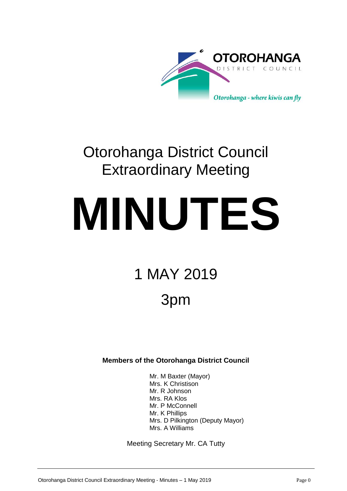

# Otorohanga District Council Extraordinary Meeting

# **MINUTES**

# 1 MAY 2019

# 3pm

### **Members of the Otorohanga District Council**

Mr. M Baxter (Mayor) Mrs. K Christison Mr. R Johnson Mrs. RA Klos Mr. P McConnell Mr. K Phillips Mrs. D Pilkington (Deputy Mayor) Mrs. A Williams

Meeting Secretary Mr. CA Tutty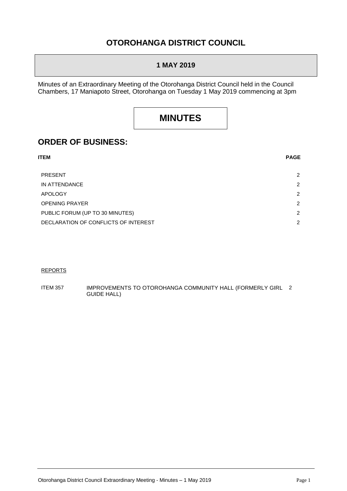## **OTOROHANGA DISTRICT COUNCIL**

#### **1 MAY 2019**

Minutes of an Extraordinary Meeting of the Otorohanga District Council held in the Council Chambers, 17 Maniapoto Street, Otorohanga on Tuesday 1 May 2019 commencing at 3pm

## **MINUTES**

## **ORDER OF BUSINESS:**

| ITEM                                 | <b>PAGE</b> |
|--------------------------------------|-------------|
| <b>PRESENT</b>                       | 2           |
| IN ATTENDANCE                        | 2           |
| <b>APOLOGY</b>                       | 2           |
| <b>OPENING PRAYER</b>                | 2           |
| PUBLIC FORUM (UP TO 30 MINUTES)      | 2           |
| DECLARATION OF CONFLICTS OF INTEREST | 2           |

#### REPORTS

ITEM 357 IMPROVEMENTS TO OTOROHANGA COMMUNITY HALL (FORMERLY GIRL 2GUIDE HALL)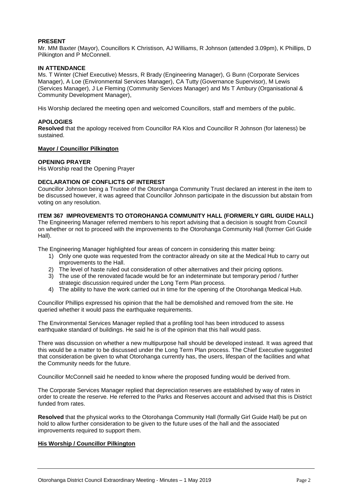#### **PRESENT**

Mr. MM Baxter (Mayor), Councillors K Christison, AJ Williams, R Johnson (attended 3.09pm), K Phillips, D Pilkington and P McConnell.

#### **IN ATTENDANCE**

Ms. T Winter (Chief Executive) Messrs, R Brady (Engineering Manager), G Bunn (Corporate Services Manager), A Loe (Environmental Services Manager), CA Tutty (Governance Supervisor), M Lewis (Services Manager), J Le Fleming (Community Services Manager) and Ms T Ambury (Organisational & Community Development Manager),

His Worship declared the meeting open and welcomed Councillors, staff and members of the public.

#### **APOLOGIES**

**Resolved** that the apology received from Councillor RA Klos and Councillor R Johnson (for lateness) be sustained.

#### **Mayor / Councillor Pilkington**

#### **OPENING PRAYER**

His Worship read the Opening Prayer

#### **DECLARATION OF CONFLICTS OF INTEREST**

Councillor Johnson being a Trustee of the Otorohanga Community Trust declared an interest in the item to be discussed however, it was agreed that Councillor Johnson participate in the discussion but abstain from voting on any resolution.

**ITEM 367 IMPROVEMENTS TO OTOROHANGA COMMUNITY HALL (FORMERLY GIRL GUIDE HALL)** The Engineering Manager referred members to his report advising that a decision is sought from Council on whether or not to proceed with the improvements to the Otorohanga Community Hall (former Girl Guide Hall).

The Engineering Manager highlighted four areas of concern in considering this matter being:

- 1) Only one quote was requested from the contractor already on site at the Medical Hub to carry out improvements to the Hall.
- 2) The level of haste ruled out consideration of other alternatives and their pricing options.
- 3) The use of the renovated facade would be for an indeterminate but temporary period / further strategic discussion required under the Long Term Plan process.
- 4) The ability to have the work carried out in time for the opening of the Otorohanga Medical Hub.

Councillor Phillips expressed his opinion that the hall be demolished and removed from the site. He queried whether it would pass the earthquake requirements.

The Environmental Services Manager replied that a profiling tool has been introduced to assess earthquake standard of buildings. He said he is of the opinion that this hall would pass.

There was discussion on whether a new multipurpose hall should be developed instead. It was agreed that this would be a matter to be discussed under the Long Term Plan process. The Chief Executive suggested that consideration be given to what Otorohanga currently has, the users, lifespan of the facilities and what the Community needs for the future.

Councillor McConnell said he needed to know where the proposed funding would be derived from.

The Corporate Services Manager replied that depreciation reserves are established by way of rates in order to create the reserve. He referred to the Parks and Reserves account and advised that this is District funded from rates.

**Resolved** that the physical works to the Otorohanga Community Hall (formally Girl Guide Hall) be put on hold to allow further consideration to be given to the future uses of the hall and the associated improvements required to support them.

#### **His Worship / Councillor Pilkington**